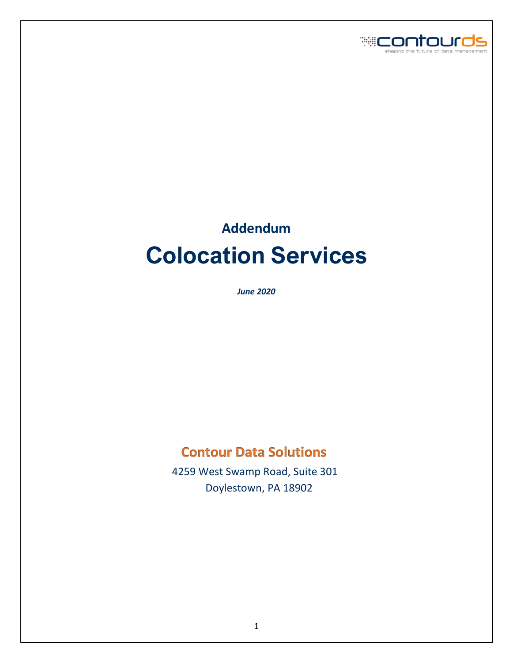

# **Addendum Colocation Services**

*June 2020*

# **Contour Data Solutions**

 4259 West Swamp Road, Suite 301 Doylestown, PA 18902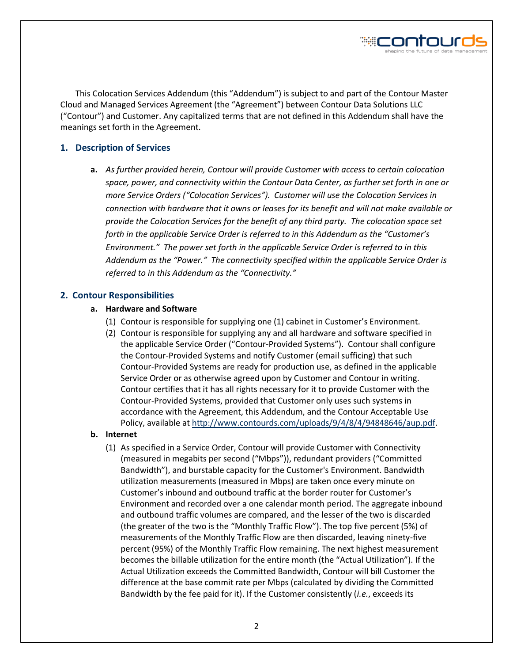

This Colocation Services Addendum (this "Addendum") is subject to and part of the Contour Master Cloud and Managed Services Agreement (the "Agreement") between Contour Data Solutions LLC ("Contour") and Customer. Any capitalized terms that are not defined in this Addendum shall have the meanings set forth in the Agreement.

# **1. Description of Services**

**a.** *As further provided herein, Contour will provide Customer with access to certain colocation space, power, and connectivity within the Contour Data Center, as further set forth in one or more Service Orders ("Colocation Services"). Customer will use the Colocation Services in connection with hardware that it owns or leases for its benefit and will not make available or provide the Colocation Services for the benefit of any third party. The colocation space set forth in the applicable Service Order is referred to in this Addendum as the "Customer's Environment." The power set forth in the applicable Service Order is referred to in this Addendum as the "Power." The connectivity specified within the applicable Service Order is referred to in this Addendum as the "Connectivity."*

# **2. Contour Responsibilities**

# **a. Hardware and Software**

- (1) Contour is responsible for supplying one (1) cabinet in Customer's Environment.
- (2) Contour is responsible for supplying any and all hardware and software specified in the applicable Service Order ("Contour-Provided Systems"). Contour shall configure the Contour-Provided Systems and notify Customer (email sufficing) that such Contour-Provided Systems are ready for production use, as defined in the applicable Service Order or as otherwise agreed upon by Customer and Contour in writing. Contour certifies that it has all rights necessary for it to provide Customer with the Contour-Provided Systems, provided that Customer only uses such systems in accordance with the Agreement, this Addendum, and the Contour Acceptable Use Policy, available at [http://www.contourds.com/uploads/9/4/8/4/94848646/aup.pdf.](http://www.contourds.com/uploads/9/4/8/4/94848646/aup.pdf)

# **b. Internet**

(1) As specified in a Service Order, Contour will provide Customer with Connectivity (measured in megabits per second ("Mbps")), redundant providers ("Committed Bandwidth"), and burstable capacity for the Customer's Environment. Bandwidth utilization measurements (measured in Mbps) are taken once every minute on Customer's inbound and outbound traffic at the border router for Customer's Environment and recorded over a one calendar month period. The aggregate inbound and outbound traffic volumes are compared, and the lesser of the two is discarded (the greater of the two is the "Monthly Traffic Flow"). The top five percent (5%) of measurements of the Monthly Traffic Flow are then discarded, leaving ninety-five percent (95%) of the Monthly Traffic Flow remaining. The next highest measurement becomes the billable utilization for the entire month (the "Actual Utilization"). If the Actual Utilization exceeds the Committed Bandwidth, Contour will bill Customer the difference at the base commit rate per Mbps (calculated by dividing the Committed Bandwidth by the fee paid for it). If the Customer consistently (*i.e.*, exceeds its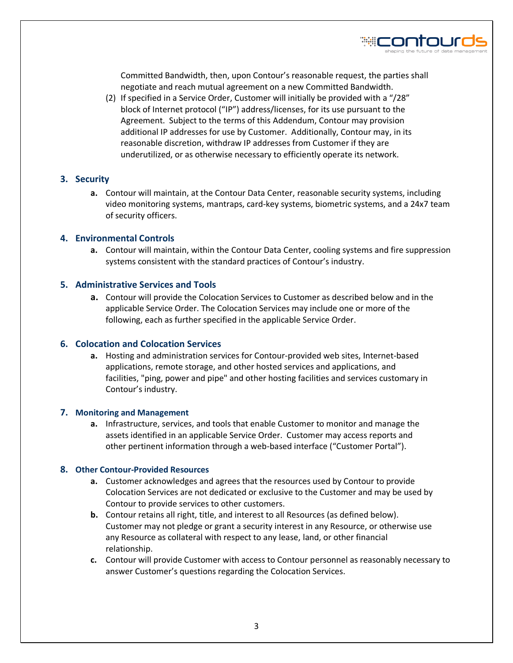

Committed Bandwidth, then, upon Contour's reasonable request, the parties shall negotiate and reach mutual agreement on a new Committed Bandwidth.

(2) If specified in a Service Order, Customer will initially be provided with a "/28" block of Internet protocol ("IP") address/licenses, for its use pursuant to the Agreement. Subject to the terms of this Addendum, Contour may provision additional IP addresses for use by Customer. Additionally, Contour may, in its reasonable discretion, withdraw IP addresses from Customer if they are underutilized, or as otherwise necessary to efficiently operate its network.

# **3. Security**

**a.** Contour will maintain, at the Contour Data Center, reasonable security systems, including video monitoring systems, mantraps, card-key systems, biometric systems, and a 24x7 team of security officers.

#### **4. Environmental Controls**

**a.** Contour will maintain, within the Contour Data Center, cooling systems and fire suppression systems consistent with the standard practices of Contour's industry.

# **5. Administrative Services and Tools**

**a.** Contour will provide the Colocation Services to Customer as described below and in the applicable Service Order. The Colocation Services may include one or more of the following, each as further specified in the applicable Service Order.

#### **6. Colocation and Colocation Services**

**a.** Hosting and administration services for Contour-provided web sites, Internet-based applications, remote storage, and other hosted services and applications, and facilities, "ping, power and pipe" and other hosting facilities and services customary in Contour's industry.

#### **7. Monitoring and Management**

**a.** Infrastructure, services, and tools that enable Customer to monitor and manage the assets identified in an applicable Service Order. Customer may access reports and other pertinent information through a web-based interface ("Customer Portal").

#### **8. Other Contour-Provided Resources**

- **a.** Customer acknowledges and agrees that the resources used by Contour to provide Colocation Services are not dedicated or exclusive to the Customer and may be used by Contour to provide services to other customers.
- **b.** Contour retains all right, title, and interest to all Resources (as defined below). Customer may not pledge or grant a security interest in any Resource, or otherwise use any Resource as collateral with respect to any lease, land, or other financial relationship.
- **c.** Contour will provide Customer with access to Contour personnel as reasonably necessary to answer Customer's questions regarding the Colocation Services.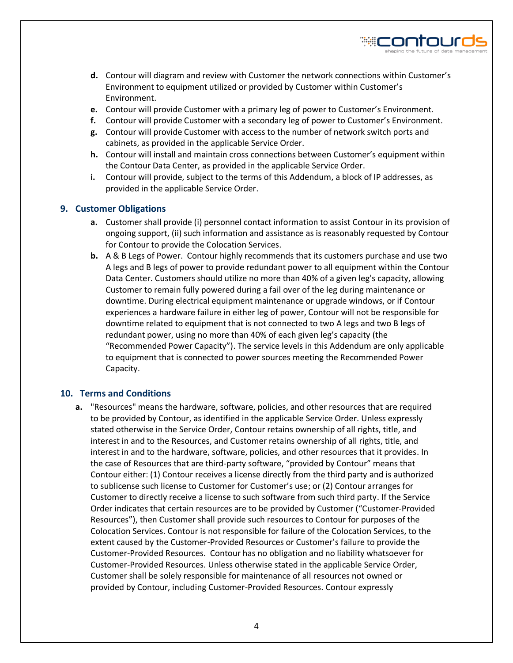

- **d.** Contour will diagram and review with Customer the network connections within Customer's Environment to equipment utilized or provided by Customer within Customer's Environment.
- **e.** Contour will provide Customer with a primary leg of power to Customer's Environment.
- **f.** Contour will provide Customer with a secondary leg of power to Customer's Environment.
- **g.** Contour will provide Customer with access to the number of network switch ports and cabinets, as provided in the applicable Service Order.
- **h.** Contour will install and maintain cross connections between Customer's equipment within the Contour Data Center, as provided in the applicable Service Order.
- **i.** Contour will provide, subject to the terms of this Addendum, a block of IP addresses, as provided in the applicable Service Order.

# **9. Customer Obligations**

- **a.** Customer shall provide (i) personnel contact information to assist Contour in its provision of ongoing support, (ii) such information and assistance as is reasonably requested by Contour for Contour to provide the Colocation Services.
- **b.** A & B Legs of Power. Contour highly recommends that its customers purchase and use two A legs and B legs of power to provide redundant power to all equipment within the Contour Data Center. Customers should utilize no more than 40% of a given leg's capacity, allowing Customer to remain fully powered during a fail over of the leg during maintenance or downtime. During electrical equipment maintenance or upgrade windows, or if Contour experiences a hardware failure in either leg of power, Contour will not be responsible for downtime related to equipment that is not connected to two A legs and two B legs of redundant power, using no more than 40% of each given leg's capacity (the "Recommended Power Capacity"). The service levels in this Addendum are only applicable to equipment that is connected to power sources meeting the Recommended Power Capacity.

# **10. Terms and Conditions**

**a.** "Resources" means the hardware, software, policies, and other resources that are required to be provided by Contour, as identified in the applicable Service Order. Unless expressly stated otherwise in the Service Order, Contour retains ownership of all rights, title, and interest in and to the Resources, and Customer retains ownership of all rights, title, and interest in and to the hardware, software, policies, and other resources that it provides. In the case of Resources that are third-party software, "provided by Contour" means that Contour either: (1) Contour receives a license directly from the third party and is authorized to sublicense such license to Customer for Customer's use; or (2) Contour arranges for Customer to directly receive a license to such software from such third party. If the Service Order indicates that certain resources are to be provided by Customer ("Customer-Provided Resources"), then Customer shall provide such resources to Contour for purposes of the Colocation Services. Contour is not responsible for failure of the Colocation Services, to the extent caused by the Customer-Provided Resources or Customer's failure to provide the Customer-Provided Resources. Contour has no obligation and no liability whatsoever for Customer-Provided Resources. Unless otherwise stated in the applicable Service Order, Customer shall be solely responsible for maintenance of all resources not owned or provided by Contour, including Customer-Provided Resources. Contour expressly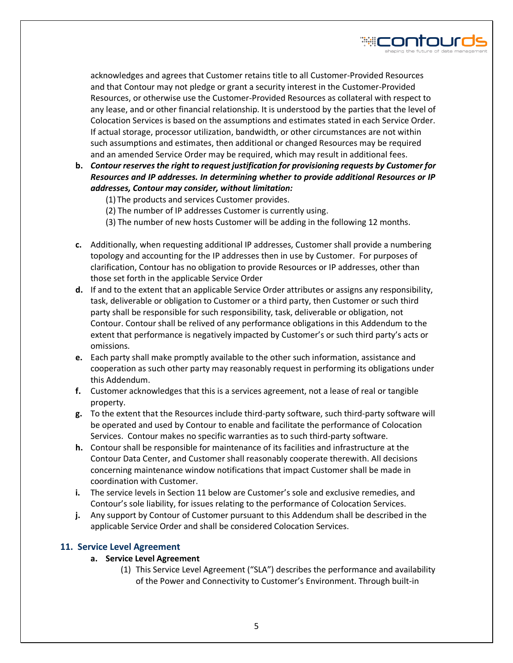

acknowledges and agrees that Customer retains title to all Customer-Provided Resources and that Contour may not pledge or grant a security interest in the Customer-Provided Resources, or otherwise use the Customer-Provided Resources as collateral with respect to any lease, and or other financial relationship. It is understood by the parties that the level of Colocation Services is based on the assumptions and estimates stated in each Service Order. If actual storage, processor utilization, bandwidth, or other circumstances are not within such assumptions and estimates, then additional or changed Resources may be required and an amended Service Order may be required, which may result in additional fees.

- **b.** *Contour reserves the right to request justification for provisioning requests by Customer for Resources and IP addresses. In determining whether to provide additional Resources or IP addresses, Contour may consider, without limitation:*
	- (1) The products and services Customer provides.
	- (2) The number of IP addresses Customer is currently using.
	- (3) The number of new hosts Customer will be adding in the following 12 months.
- **c.** Additionally, when requesting additional IP addresses, Customer shall provide a numbering topology and accounting for the IP addresses then in use by Customer. For purposes of clarification, Contour has no obligation to provide Resources or IP addresses, other than those set forth in the applicable Service Order
- **d.** If and to the extent that an applicable Service Order attributes or assigns any responsibility, task, deliverable or obligation to Customer or a third party, then Customer or such third party shall be responsible for such responsibility, task, deliverable or obligation, not Contour. Contour shall be relived of any performance obligations in this Addendum to the extent that performance is negatively impacted by Customer's or such third party's acts or omissions.
- **e.** Each party shall make promptly available to the other such information, assistance and cooperation as such other party may reasonably request in performing its obligations under this Addendum.
- **f.** Customer acknowledges that this is a services agreement, not a lease of real or tangible property.
- **g.** To the extent that the Resources include third-party software, such third-party software will be operated and used by Contour to enable and facilitate the performance of Colocation Services. Contour makes no specific warranties as to such third-party software.
- **h.** Contour shall be responsible for maintenance of its facilities and infrastructure at the Contour Data Center, and Customer shall reasonably cooperate therewith. All decisions concerning maintenance window notifications that impact Customer shall be made in coordination with Customer.
- **i.** The service levels in Section 11 below are Customer's sole and exclusive remedies, and Contour's sole liability, for issues relating to the performance of Colocation Services.
- **j.** Any support by Contour of Customer pursuant to this Addendum shall be described in the applicable Service Order and shall be considered Colocation Services.

# **11. Service Level Agreement**

# **a. Service Level Agreement**

(1) This Service Level Agreement ("SLA") describes the performance and availability of the Power and Connectivity to Customer's Environment. Through built-in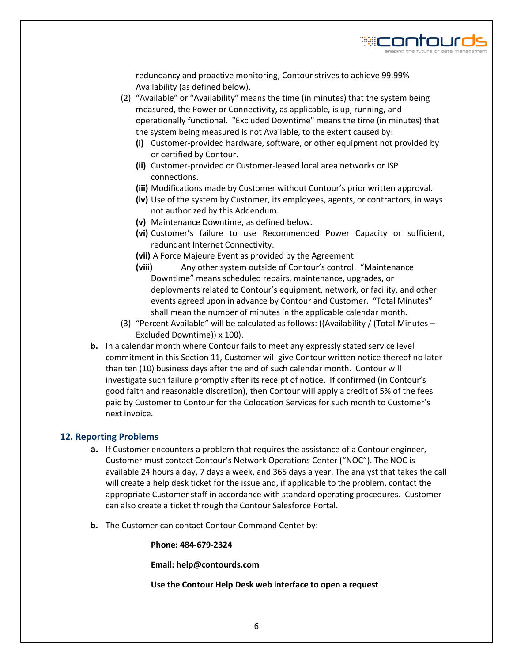

redundancy and proactive monitoring, Contour strives to achieve 99.99% Availability (as defined below).

- (2) "Available" or "Availability" means the time (in minutes) that the system being measured, the Power or Connectivity, as applicable, is up, running, and operationally functional. "Excluded Downtime" means the time (in minutes) that the system being measured is not Available, to the extent caused by:
	- **(i)** Customer-provided hardware, software, or other equipment not provided by or certified by Contour.
	- **(ii)** Customer-provided or Customer-leased local area networks or ISP connections.
	- **(iii)** Modifications made by Customer without Contour's prior written approval.
	- **(iv)** Use of the system by Customer, its employees, agents, or contractors, in ways not authorized by this Addendum.
	- **(v)** Maintenance Downtime, as defined below.
	- **(vi)** Customer's failure to use Recommended Power Capacity or sufficient, redundant Internet Connectivity.
	- **(vii)** A Force Majeure Event as provided by the Agreement
	- **(viii)** Any other system outside of Contour's control. "Maintenance Downtime" means scheduled repairs, maintenance, upgrades, or deployments related to Contour's equipment, network, or facility, and other events agreed upon in advance by Contour and Customer. "Total Minutes" shall mean the number of minutes in the applicable calendar month.
- (3) "Percent Available" will be calculated as follows: ((Availability / (Total Minutes Excluded Downtime)) x 100).
- **b.** In a calendar month where Contour fails to meet any expressly stated service level commitment in this Section 11, Customer will give Contour written notice thereof no later than ten (10) business days after the end of such calendar month. Contour will investigate such failure promptly after its receipt of notice. If confirmed (in Contour's good faith and reasonable discretion), then Contour will apply a credit of 5% of the fees paid by Customer to Contour for the Colocation Services for such month to Customer's next invoice.

#### **12. Reporting Problems**

- **a.** If Customer encounters a problem that requires the assistance of a Contour engineer, Customer must contact Contour's Network Operations Center ("NOC"). The NOC is available 24 hours a day, 7 days a week, and 365 days a year. The analyst that takes the call will create a help desk ticket for the issue and, if applicable to the problem, contact the appropriate Customer staff in accordance with standard operating procedures. Customer can also create a ticket through the Contour Salesforce Portal.
- **b.** The Customer can contact Contour Command Center by:

**Phone: 484-679-2324**

**Email: help@contourds.com**

**Use the Contour Help Desk web interface to open a request**